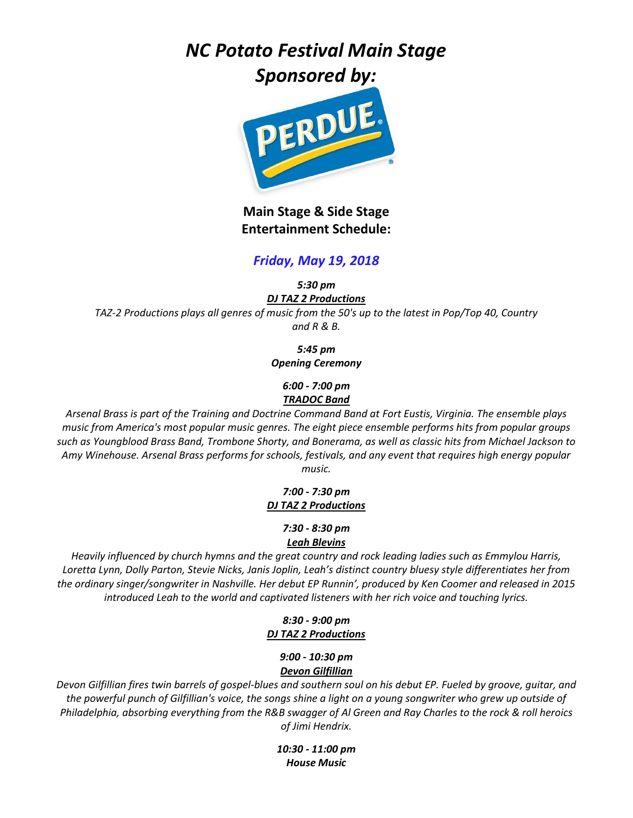# *NC Potato Festival Main Stage*





**Main Stage & Side Stage Entertainment Schedule:**

# *Friday, May 19, 2018*

*5:30 pm*

*DJ TAZ 2 Productions TAZ-2 Productions plays all genres of music from the 50's up to the latest in Pop/Top 40, Country and R & B.*

*5:45 pm*

*Opening Ceremony*

*6:00 - 7:00 pm TRADOC Band*

*Arsenal Brass is part of the Training and Doctrine Command Band at Fort Eustis, Virginia. The ensemble plays music from America's most popular music genres. The eight piece ensemble performs hits from popular groups such as Youngblood Brass Band, Trombone Shorty, and Bonerama, as well as classic hits from Michael Jackson to Amy Winehouse. Arsenal Brass performs for schools, festivals, and any event that requires high energy popular music.*

#### *7:00 - 7:30 pm DJ TAZ 2 Productions*

#### *7:30 - 8:30 pm Leah Blevins*

*Heavily influenced by church hymns and the great country and rock leading ladies such as Emmylou Harris, Loretta Lynn, Dolly Parton, Stevie Nicks, Janis Joplin, Leah's distinct country bluesy style differentiates her from the ordinary singer/songwriter in Nashville. Her debut EP Runnin', produced by Ken Coomer and released in 2015 introduced Leah to the world and captivated listeners with her rich voice and touching lyrics.*

# *8:30 - 9:00 pm DJ TAZ 2 Productions*

# *9:00 - 10:30 pm Devon Gilfillian*

*Devon Gilfillian fires twin barrels of gospel-blues and southern soul on his debut EP. Fueled by groove, guitar, and the powerful punch of Gilfillian's voice, the songs shine a light on a young songwriter who grew up outside of Philadelphia, absorbing everything from the R&B swagger of Al Green and Ray Charles to the rock & roll heroics of Jimi Hendrix.*

> *10:30 - 11:00 pm House Music*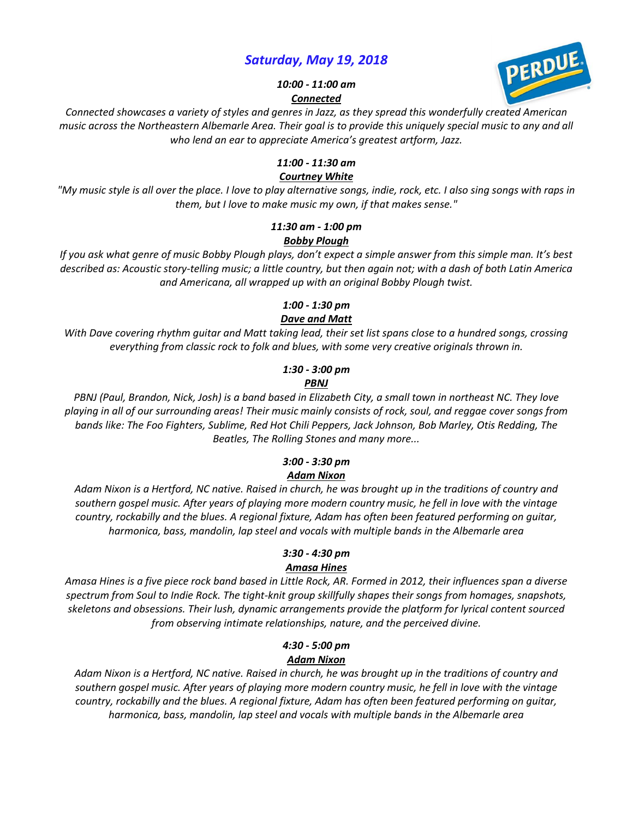# *Saturday, May 19, 2018*



*10:00 - 11:00 am Connected*

*Connected showcases a variety of styles and genres in Jazz, as they spread this wonderfully created American music across the Northeastern Albemarle Area. Their goal is to provide this uniquely special music to any and all who lend an ear to appreciate America's greatest artform, Jazz.*

#### *11:00 - 11:30 am*

#### *Courtney White*

*"My music style is all over the place. I love to play alternative songs, indie, rock, etc. I also sing songs with raps in them, but I love to make music my own, if that makes sense."*

#### *11:30 am - 1:00 pm Bobby Plough*

*If you ask what genre of music Bobby Plough plays, don't expect a simple answer from this simple man. It's best described as: Acoustic story-telling music; a little country, but then again not; with a dash of both Latin America and Americana, all wrapped up with an original Bobby Plough twist.*

# *1:00 - 1:30 pm*

# *Dave and Matt*

*With Dave covering rhythm guitar and Matt taking lead, their set list spans close to a hundred songs, crossing everything from classic rock to folk and blues, with some very creative originals thrown in.*

# *1:30 - 3:00 pm*

#### *PBNJ*

*PBNJ (Paul, Brandon, Nick, Josh) is a band based in Elizabeth City, a small town in northeast NC. They love playing in all of our surrounding areas! Their music mainly consists of rock, soul, and reggae cover songs from bands like: The Foo Fighters, Sublime, Red Hot Chili Peppers, Jack Johnson, Bob Marley, Otis Redding, The Beatles, The Rolling Stones and many more...*

#### *3:00 - 3:30 pm Adam Nixon*

*Adam Nixon is a Hertford, NC native. Raised in church, he was brought up in the traditions of country and southern gospel music. After years of playing more modern country music, he fell in love with the vintage country, rockabilly and the blues. A regional fixture, Adam has often been featured performing on guitar, harmonica, bass, mandolin, lap steel and vocals with multiple bands in the Albemarle area*

#### *3:30 - 4:30 pm Amasa Hines*

*Amasa Hines is a five piece rock band based in Little Rock, AR. Formed in 2012, their influences span a diverse spectrum from Soul to Indie Rock. The tight-knit group skillfully shapes their songs from homages, snapshots, skeletons and obsessions. Their lush, dynamic arrangements provide the platform for lyrical content sourced from observing intimate relationships, nature, and the perceived divine.*

#### *4:30 - 5:00 pm Adam Nixon*

*Adam Nixon is a Hertford, NC native. Raised in church, he was brought up in the traditions of country and southern gospel music. After years of playing more modern country music, he fell in love with the vintage country, rockabilly and the blues. A regional fixture, Adam has often been featured performing on guitar, harmonica, bass, mandolin, lap steel and vocals with multiple bands in the Albemarle area*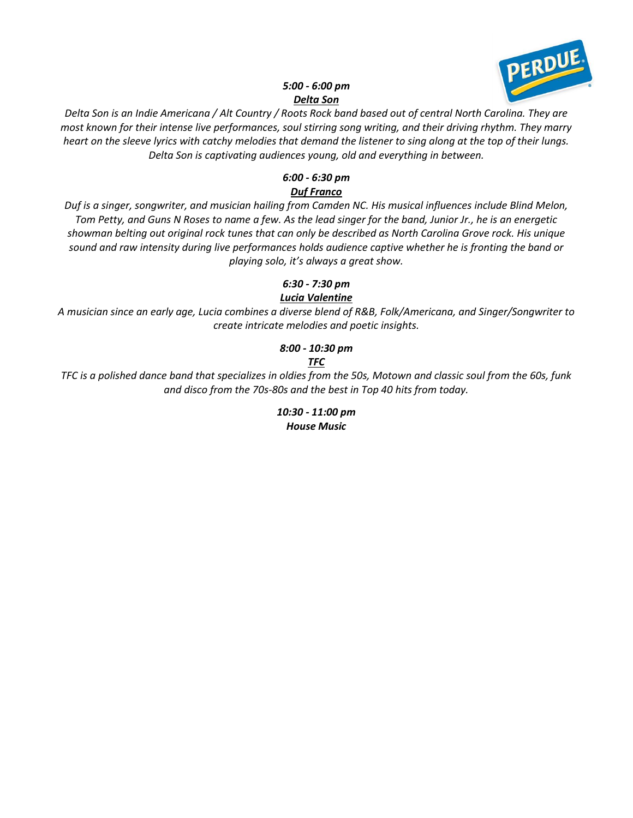

#### *5:00 - 6:00 pm Delta Son*

*Delta Son is an Indie Americana / Alt Country / Roots Rock band based out of central North Carolina. They are most known for their intense live performances, soul stirring song writing, and their driving rhythm. They marry heart on the sleeve lyrics with catchy melodies that demand the listener to sing along at the top of their lungs. Delta Son is captivating audiences young, old and everything in between.*

# *6:00 - 6:30 pm Duf Franco*

*Duf is a singer, songwriter, and musician hailing from Camden NC. His musical influences include Blind Melon, Tom Petty, and Guns N Roses to name a few. As the lead singer for the band, Junior Jr., he is an energetic showman belting out original rock tunes that can only be described as North Carolina Grove rock. His unique sound and raw intensity during live performances holds audience captive whether he is fronting the band or playing solo, it's always a great show.*

# *6:30 - 7:30 pm*

# *Lucia Valentine*

*A musician since an early age, Lucia combines a diverse blend of R&B, Folk/Americana, and Singer/Songwriter to create intricate melodies and poetic insights.*

# *8:00 - 10:30 pm TFC*

*TFC is a polished dance band that specializes in oldies from the 50s, Motown and classic soul from the 60s, funk and disco from the 70s-80s and the best in Top 40 hits from today.*

> *10:30 - 11:00 pm House Music*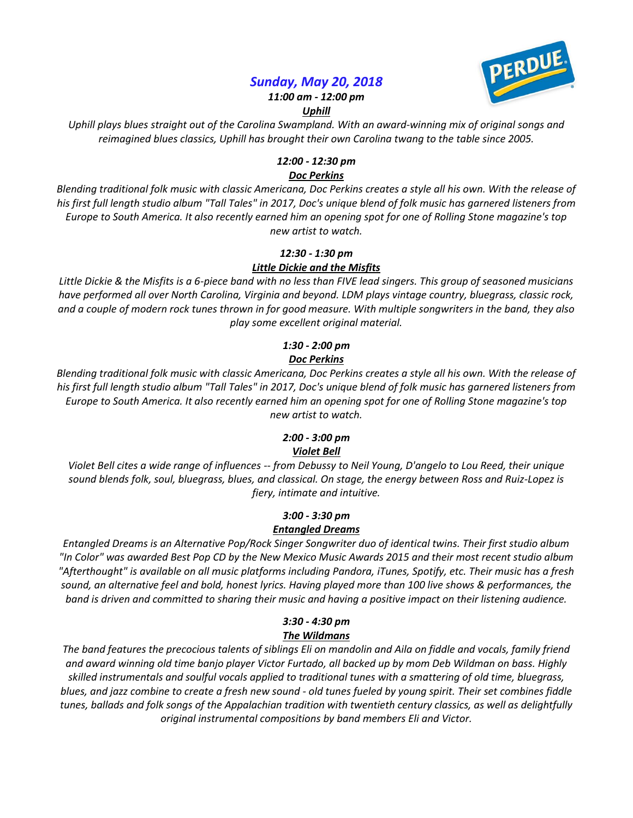# *Sunday, May 20, 2018*



*11:00 am - 12:00 pm*

#### *Uphill*

*Uphill plays blues straight out of the Carolina Swampland. With an award-winning mix of original songs and reimagined blues classics, Uphill has brought their own Carolina twang to the table since 2005.*

#### *12:00 - 12:30 pm*

#### *Doc Perkins*

*Blending traditional folk music with classic Americana, Doc Perkins creates a style all his own. With the release of his first full length studio album "Tall Tales" in 2017, Doc's unique blend of folk music has garnered listeners from Europe to South America. It also recently earned him an opening spot for one of Rolling Stone magazine's top new artist to watch.*

# *12:30 - 1:30 pm Little Dickie and the Misfits*

*Little Dickie & the Misfits is a 6-piece band with no less than FIVE lead singers. This group of seasoned musicians have performed all over North Carolina, Virginia and beyond. LDM plays vintage country, bluegrass, classic rock, and a couple of modern rock tunes thrown in for good measure. With multiple songwriters in the band, they also play some excellent original material.*

#### *1:30 - 2:00 pm Doc Perkins*

*Blending traditional folk music with classic Americana, Doc Perkins creates a style all his own. With the release of his first full length studio album "Tall Tales" in 2017, Doc's unique blend of folk music has garnered listeners from Europe to South America. It also recently earned him an opening spot for one of Rolling Stone magazine's top new artist to watch.*

# *2:00 - 3:00 pm Violet Bell*

*Violet Bell cites a wide range of influences -- from Debussy to Neil Young, D'angelo to Lou Reed, their unique sound blends folk, soul, bluegrass, blues, and classical. On stage, the energy between Ross and Ruiz-Lopez is fiery, intimate and intuitive.*

# *3:00 - 3:30 pm Entangled Dreams*

*Entangled Dreams is an Alternative Pop/Rock Singer Songwriter duo of identical twins. Their first studio album "In Color" was awarded Best Pop CD by the New Mexico Music Awards 2015 and their most recent studio album "Afterthought" is available on all music platforms including Pandora, iTunes, Spotify, etc. Their music has a fresh sound, an alternative feel and bold, honest lyrics. Having played more than 100 live shows & performances, the band is driven and committed to sharing their music and having a positive impact on their listening audience.*

# *3:30 - 4:30 pm The Wildmans*

*The band features the precocious talents of siblings Eli on mandolin and Aila on fiddle and vocals, family friend and award winning old time banjo player Victor Furtado, all backed up by mom Deb Wildman on bass. Highly skilled instrumentals and soulful vocals applied to traditional tunes with a smattering of old time, bluegrass, blues, and jazz combine to create a fresh new sound - old tunes fueled by young spirit. Their set combines fiddle tunes, ballads and folk songs of the Appalachian tradition with twentieth century classics, as well as delightfully original instrumental compositions by band members Eli and Victor.*